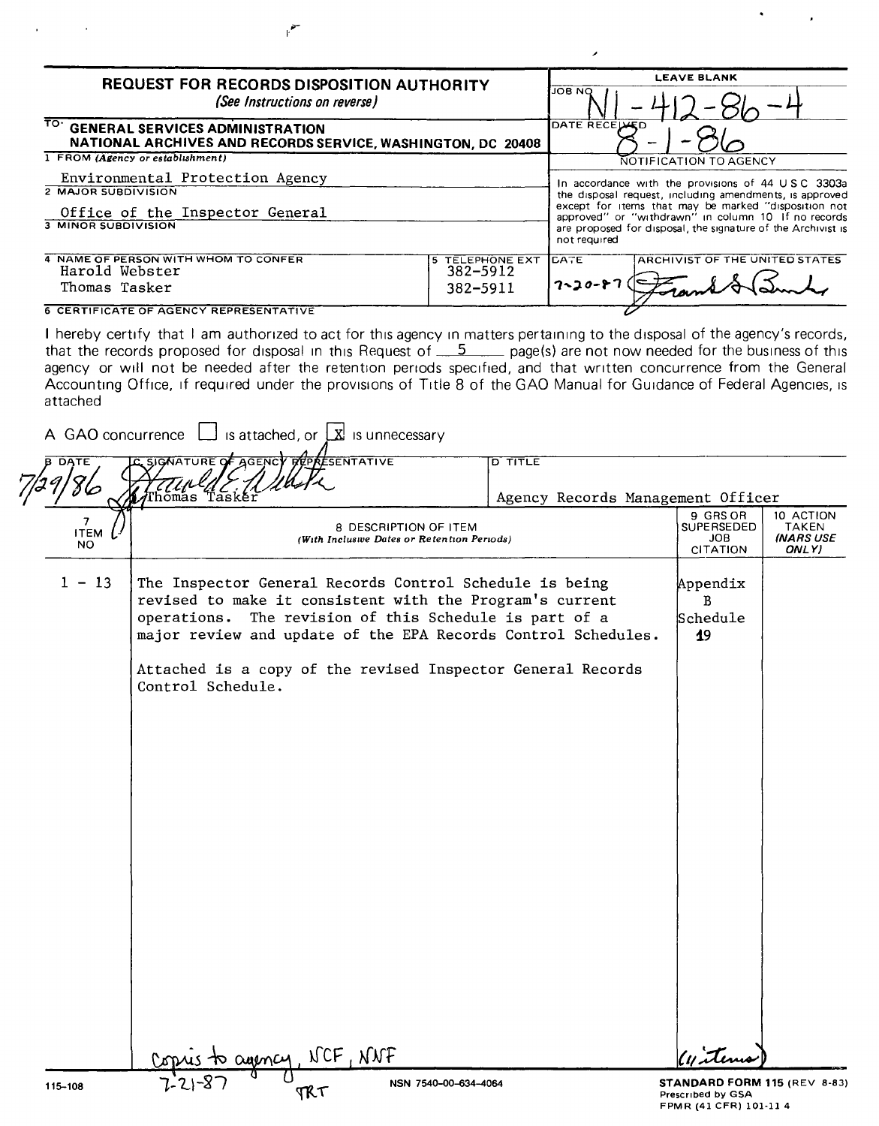| <b>REQUEST FOR RECORDS DISPOSITION AUTHORITY</b>                                                                               | <b>LEAVE BLANK</b>                          |                         |                                                                                                                                                                                                                                                                                             |
|--------------------------------------------------------------------------------------------------------------------------------|---------------------------------------------|-------------------------|---------------------------------------------------------------------------------------------------------------------------------------------------------------------------------------------------------------------------------------------------------------------------------------------|
| (See Instructions on reverse)                                                                                                  | <b>JOB NO</b>                               |                         |                                                                                                                                                                                                                                                                                             |
| TO GENERAL SERVICES ADMINISTRATION<br>NATIONAL ARCHIVES AND RECORDS SERVICE, WASHINGTON, DC 20408                              | DATE RECEIVED                               |                         |                                                                                                                                                                                                                                                                                             |
| 1 FROM (Agency or establishment)                                                                                               |                                             |                         | NOTIFICATION TO AGENCY                                                                                                                                                                                                                                                                      |
| Environmental Protection Agency<br><b>2 MAJOR SUBDIVISION</b><br>Office of the Inspector General<br><b>3 MINOR SUBDIVISION</b> |                                             | not required            | In accordance with the provisions of 44 USC 3303a<br>the disposal request, including amendments, is approved<br>except for items that may be marked "disposition not<br>approved" or "withdrawn" in column 10 If no records<br>are proposed for disposal, the signature of the Archivist is |
| 4 NAME OF PERSON WITH WHOM TO CONFER<br>Harold Webster<br>Thomas Tasker                                                        | 5 TELEPHONE EXT<br>$382 - 5912$<br>382-5911 | ICATE.<br>$7 - 20 - 87$ | <b>ARCHIVIST OF THE UNITED STATES</b>                                                                                                                                                                                                                                                       |
| <b>6 CERTIFICATE OF AGENCY REPRESENTATIVE</b>                                                                                  |                                             |                         |                                                                                                                                                                                                                                                                                             |

I hereby certify that I am authorized to act for this agency in matters pertaining to the disposal of the agency's records, that the records proposed for disposal in this Request of  $\frac{5}{2}$  page(s) are not now needed for the business of this agency or will not be needed after the retention periods specified, and that written concurrence from the Genera Accounting Office, If required under the provrsions of Title 8 of the GAO Manual for GUidance of Federal Aqencies, IS attached

| <b>DATE</b><br>86                    | SIGNATURE OF AGENCY PROKESENTATIVE<br>$\overline{D}$ TITLE<br>hómás Tas                                                                                                                                                                                                                                                            | Agency Records Management Officer                       |                                                 |
|--------------------------------------|------------------------------------------------------------------------------------------------------------------------------------------------------------------------------------------------------------------------------------------------------------------------------------------------------------------------------------|---------------------------------------------------------|-------------------------------------------------|
| $\overline{7}$<br><b>ITEM</b><br>NO. | 8 DESCRIPTION OF ITEM<br>(With Inclusive Dates or Retention Periods)                                                                                                                                                                                                                                                               | 9 GRS OR<br>SUPERSEDED<br><b>JOB</b><br><b>CITATION</b> | 10 ACTION<br>TAKEN<br><b>INARS USE</b><br>ONLY) |
| $1 - 13$                             | The Inspector General Records Control Schedule is being<br>revised to make it consistent with the Program's current<br>operations. The revision of this Schedule is part of a<br>major review and update of the EPA Records Control Schedules.<br>Attached is a copy of the revised Inspector General Records<br>Control Schedule. | Appendix<br>$\mathbf{B}$<br>Schedule<br>19              |                                                 |
|                                      | Consisto avency NCF, NNF                                                                                                                                                                                                                                                                                                           | Witems                                                  |                                                 |

U

TRT

 $7 - 2 - 87$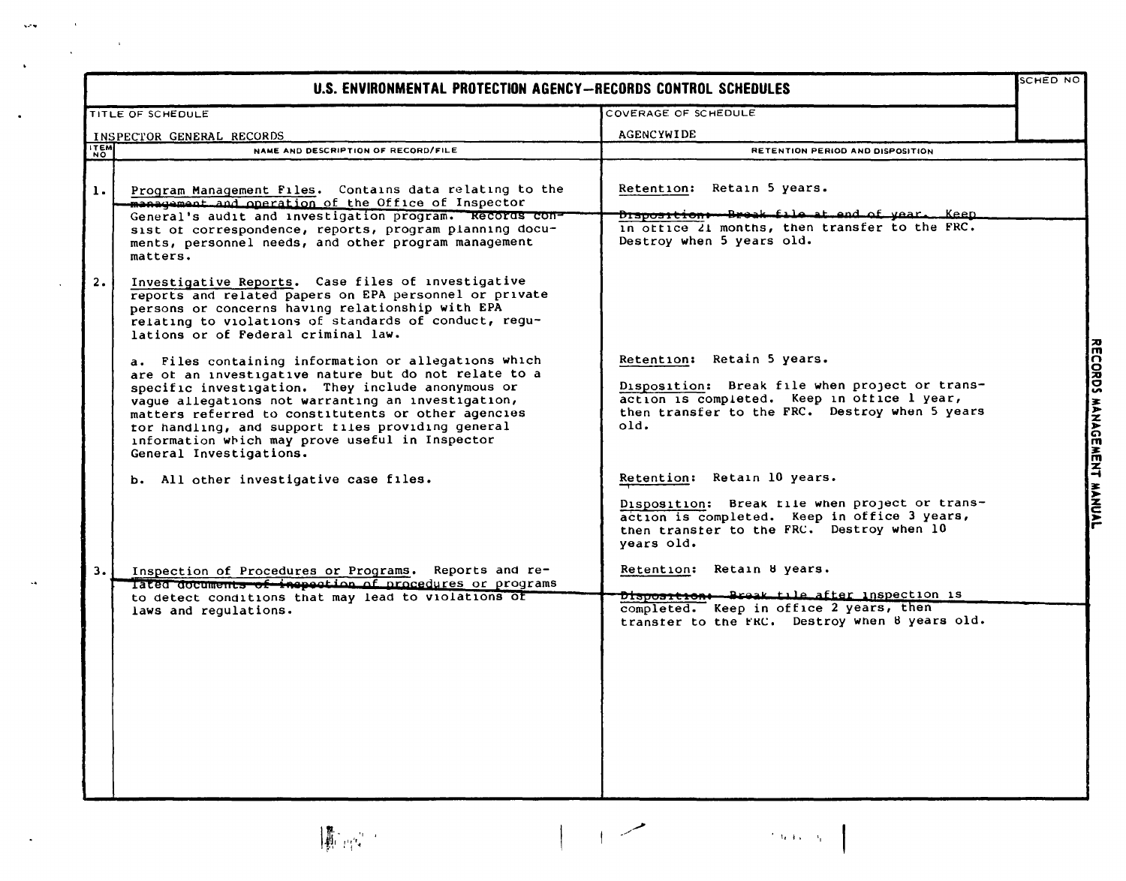| U.S. ENVIRONMENTAL PROTECTION AGENCY-RECORDS CONTROL SCHEDULES |                                                                                                                                                                                                                                                                                                                                                                                                                    |                                                                                                                                                                                          |  |  |  |
|----------------------------------------------------------------|--------------------------------------------------------------------------------------------------------------------------------------------------------------------------------------------------------------------------------------------------------------------------------------------------------------------------------------------------------------------------------------------------------------------|------------------------------------------------------------------------------------------------------------------------------------------------------------------------------------------|--|--|--|
|                                                                | TITLE OF SCHEDULE                                                                                                                                                                                                                                                                                                                                                                                                  | COVERAGE OF SCHEDULE                                                                                                                                                                     |  |  |  |
|                                                                | INSPECTOR GENERAL RECORDS                                                                                                                                                                                                                                                                                                                                                                                          | <b>AGENCYWIDE</b>                                                                                                                                                                        |  |  |  |
| <b>ITEM</b>                                                    | NAME AND DESCRIPTION OF RECORD/FILE                                                                                                                                                                                                                                                                                                                                                                                | RETENTION PERIOD AND DISPOSITION                                                                                                                                                         |  |  |  |
| $\mathbf{1}$ .                                                 | Program Management Files. Contains data relating to the<br>management and operation of the Office of Inspector<br>General's audit and investigation program. Records con-                                                                                                                                                                                                                                          | Retention: Retain 5 years.<br>Disposition -- Break file at end of year. Keep                                                                                                             |  |  |  |
|                                                                | sist of correspondence, reports, program planning docu-<br>ments, personnel needs, and other program management<br>matters.                                                                                                                                                                                                                                                                                        | in office 21 months, then transfer to the FRC.<br>Destroy when 5 years old.                                                                                                              |  |  |  |
| 2.                                                             | Investigative Reports. Case files of investigative<br>reports and related papers on EPA personnel or private<br>persons or concerns having relationship with EPA<br>relating to violations of standards of conduct, regu-<br>lations or of Federal criminal law.                                                                                                                                                   |                                                                                                                                                                                          |  |  |  |
|                                                                | a. Files containing information or allegations which<br>are of an investigative nature but do not relate to a<br>specific investigation. They include anonymous or<br>vaque allegations not warranting an investigation,<br>matters referred to constitutents or other agencies<br>tor handling, and support files providing general<br>information which may prove useful in Inspector<br>General Investigations. | Retention: Retain 5 years.<br>Disposition: Break file when project or trans-<br>action is completed. Keep in office 1 year,<br>then transfer to the FRC. Destroy when 5 years<br>old.    |  |  |  |
|                                                                | b. All other investigative case files.                                                                                                                                                                                                                                                                                                                                                                             | Retention: Retain 10 years.<br>Disposition: Break file when project or trans-<br>action is completed. Keep in office 3 years,<br>then transfer to the FRC. Destroy when 10<br>years old. |  |  |  |
| 3.                                                             | Inspection of Procedures or Programs. Reports and re-<br>lated documents of inepection of procedures or programs<br>to detect conditions that may lead to violations of                                                                                                                                                                                                                                            | Retention: Retain 8 years.<br>Disposition: Break tile after inspection is                                                                                                                |  |  |  |
|                                                                | laws and requlations.                                                                                                                                                                                                                                                                                                                                                                                              | completed. Keep in office 2 years, then<br>transter to the FRC. Destroy when 8 years old.                                                                                                |  |  |  |

 $\ddot{\phantom{a}}$ 

 $\mathbb{Z}^2$ 

 $\langle \cdot \rangle$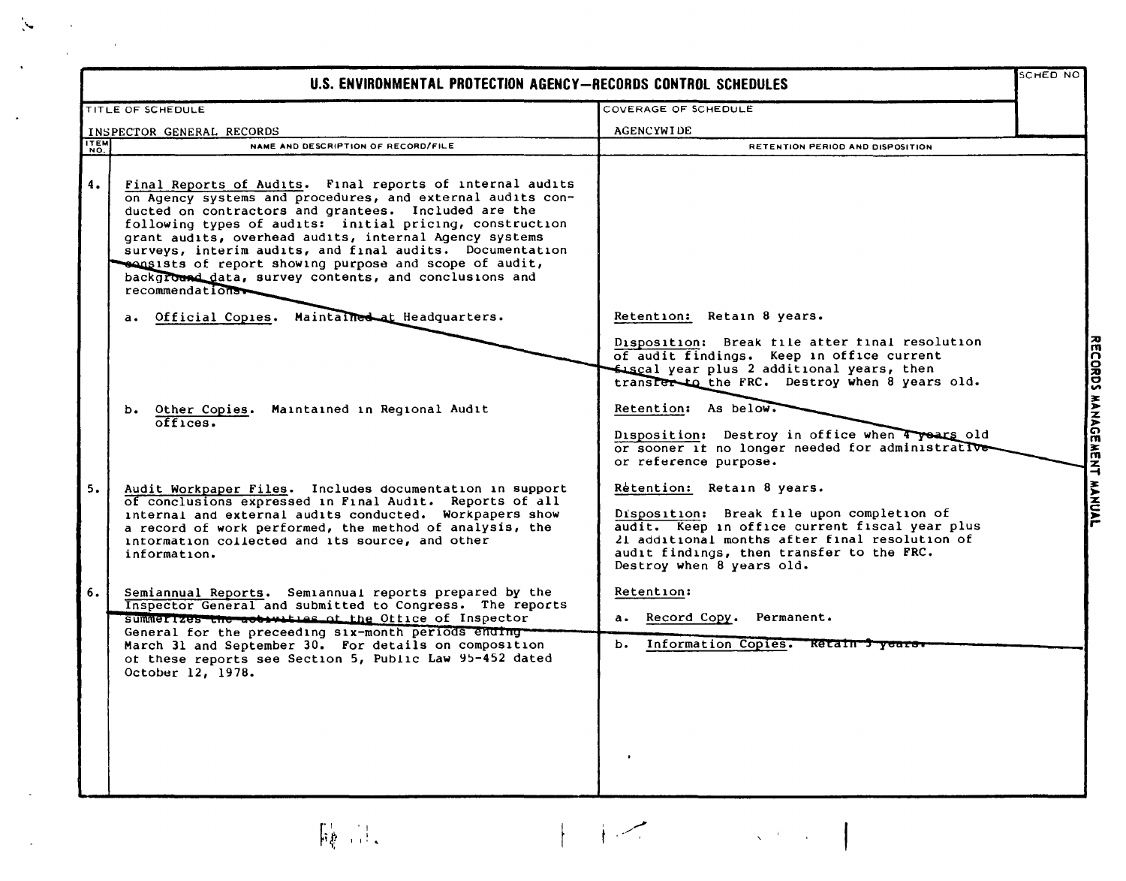| U.S. ENVIRONMENTAL PROTECTION AGENCY-RECORDS CONTROL SCHEDULES |                                                                                                                                                                                                                                                                                                                                                                                                                                                                                                         |                                                                                                                                                                                                                                                                                                                                                    |  |  |
|----------------------------------------------------------------|---------------------------------------------------------------------------------------------------------------------------------------------------------------------------------------------------------------------------------------------------------------------------------------------------------------------------------------------------------------------------------------------------------------------------------------------------------------------------------------------------------|----------------------------------------------------------------------------------------------------------------------------------------------------------------------------------------------------------------------------------------------------------------------------------------------------------------------------------------------------|--|--|
|                                                                | TITLE OF SCHEDULE                                                                                                                                                                                                                                                                                                                                                                                                                                                                                       | COVERAGE OF SCHEDULE                                                                                                                                                                                                                                                                                                                               |  |  |
|                                                                | INSPECTOR GENERAL RECORDS                                                                                                                                                                                                                                                                                                                                                                                                                                                                               | <b>AGENCYWIDE</b>                                                                                                                                                                                                                                                                                                                                  |  |  |
| ITEM                                                           | NAME AND DESCRIPTION OF RECORD/FILE                                                                                                                                                                                                                                                                                                                                                                                                                                                                     | RETENTION PERIOD AND DISPOSITION                                                                                                                                                                                                                                                                                                                   |  |  |
| 4.                                                             | Final Reports of Audits. Final reports of internal audits<br>on Agency systems and procedures, and external audits con-<br>ducted on contractors and grantees. Included are the<br>following types of audits: initial pricing, construction<br>grant audits, overhead audits, internal Agency systems<br>surveys, interim audits, and final audits. Documentation<br>sensists of report showing purpose and scope of audit,<br>background data, survey contents, and conclusions and<br>recommendations |                                                                                                                                                                                                                                                                                                                                                    |  |  |
|                                                                | a. Official Copies. Maintained at Headquarters.                                                                                                                                                                                                                                                                                                                                                                                                                                                         | Retention: Retain 8 years.                                                                                                                                                                                                                                                                                                                         |  |  |
|                                                                | b. Other Copies. Maintained in Regional Audit<br>offices.                                                                                                                                                                                                                                                                                                                                                                                                                                               | Disposition: Break file after final resolution<br>of audit findings. Keep in office current<br>fiscal year plus 2 additional years, then<br>transfer to the FRC. Destroy when 8 years old.<br>Retention: As below.<br>Disposition: Destroy in office when 4 years old<br>or sooner if no longer needed for administrative<br>or reference purpose. |  |  |
| 5.                                                             | Audit Workpaper Files. Includes documentation in support<br>of conclusions expressed in Final Audit. Reports of all<br>internal and external audits conducted. Workpapers show<br>a record of work performed, the method of analysis, the<br>intormation collected and its source, and other<br>information.                                                                                                                                                                                            | Retention: Retain 8 years.<br>Disposition: Break file upon completion of<br>audit. Keep in office current fiscal year plus<br>21 additional months after final resolution of<br>audit findings, then transfer to the FRC.<br>Destroy when 8 years old.                                                                                             |  |  |
| 6.                                                             | Semiannual Reports. Semiannual reports prepared by the<br>Inspector General and submitted to Congress. The reports                                                                                                                                                                                                                                                                                                                                                                                      | <b>Retention:</b>                                                                                                                                                                                                                                                                                                                                  |  |  |
|                                                                | summerizes the accuration of the Office of Inspector                                                                                                                                                                                                                                                                                                                                                                                                                                                    | a. Record Copy. Permanent.                                                                                                                                                                                                                                                                                                                         |  |  |
|                                                                | General for the preceeding six-month periods ending-<br>March 31 and September 30. For details on composition<br>of these reports see Section 5, Public Law 95-452 dated<br>October 12, 1978.                                                                                                                                                                                                                                                                                                           | b. Information Copies. Retain 3 years                                                                                                                                                                                                                                                                                                              |  |  |

 $\sum_{i=1}^{n}$ 

 $\hat{\mathcal{L}}$ 

U> .<br>.<br>.<br>.<br>.<br>. :<br>:<br>:<br>: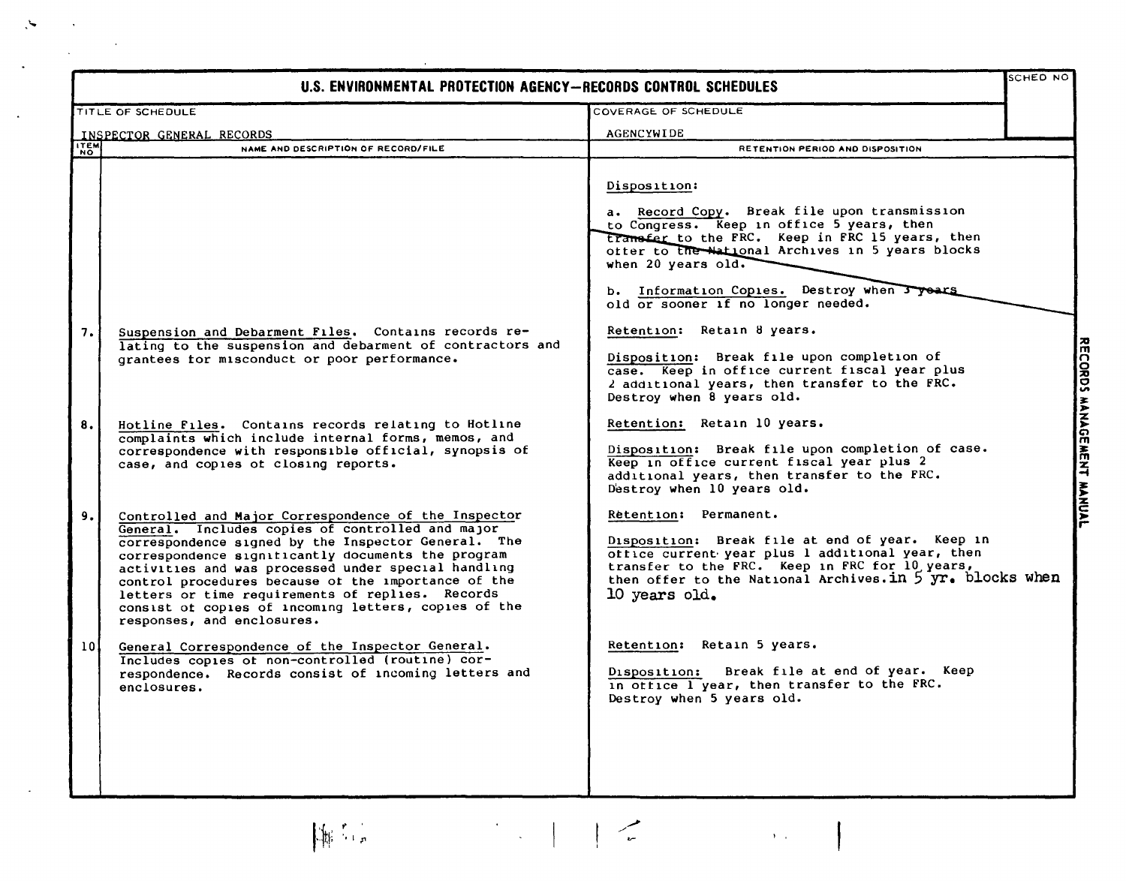| SCHED NO<br>U.S. ENVIRONMENTAL PROTECTION AGENCY-RECORDS CONTROL SCHEDULES |                                                                                                                                                                                                                                                                                                                                                                                                                                                                               |                                                                                                                                                                                                                                                              |  |  |  |  |
|----------------------------------------------------------------------------|-------------------------------------------------------------------------------------------------------------------------------------------------------------------------------------------------------------------------------------------------------------------------------------------------------------------------------------------------------------------------------------------------------------------------------------------------------------------------------|--------------------------------------------------------------------------------------------------------------------------------------------------------------------------------------------------------------------------------------------------------------|--|--|--|--|
|                                                                            | <b>TITLE OF SCHEDULE</b>                                                                                                                                                                                                                                                                                                                                                                                                                                                      | COVERAGE OF SCHEDULE                                                                                                                                                                                                                                         |  |  |  |  |
|                                                                            | INSPECTOR GENERAL RECORDS                                                                                                                                                                                                                                                                                                                                                                                                                                                     | <b>AGENCYWIDE</b>                                                                                                                                                                                                                                            |  |  |  |  |
| <b>ITEM</b>                                                                | NAME AND DESCRIPTION OF RECORD/FILE                                                                                                                                                                                                                                                                                                                                                                                                                                           | <b>RETENTION PERIOD AND DISPOSITION</b>                                                                                                                                                                                                                      |  |  |  |  |
|                                                                            |                                                                                                                                                                                                                                                                                                                                                                                                                                                                               | Disposition:<br>a. Record Copy. Break file upon transmission<br>to Congress. Keep in office 5 years, then<br>transfer to the FRC. Keep in FRC 15 years, then<br>ofter to the National Archives in 5 years blocks<br>when 20 years old.                       |  |  |  |  |
|                                                                            |                                                                                                                                                                                                                                                                                                                                                                                                                                                                               | b. Information Copies. Destroy when J years<br>old or sooner if no longer needed.                                                                                                                                                                            |  |  |  |  |
| 7.                                                                         | Suspension and Debarment Files. Contains records re-<br>lating to the suspension and debarment of contractors and<br>grantees for misconduct or poor performance.                                                                                                                                                                                                                                                                                                             | Retention: Retain 8 years.<br>Disposition: Break file upon completion of<br>case. Keep in office current fiscal year plus<br>2 additional years, then transfer to the FRC.<br>Destroy when 8 years old.                                                      |  |  |  |  |
| 8.                                                                         | Hotline Files. Contains records relating to Hotline<br>complaints which include internal forms, memos, and<br>correspondence with responsible official, synopsis of<br>case, and copies of closing reports.                                                                                                                                                                                                                                                                   | Retention: Retain 10 years.<br>Disposition: Break file upon completion of case.<br>Keep in office current fiscal year plus 2<br>additional years, then transfer to the FRC.<br>Destroy when 10 years old.                                                    |  |  |  |  |
| 9.                                                                         | Controlled and Major Correspondence of the Inspector<br>General. Includes copies of controlled and major<br>correspondence signed by the Inspector General. The<br>correspondence significantly documents the program<br>activities and was processed under special handling<br>control procedures because of the importance of the<br>letters or time requirements of replies. Records<br>consist of copies of incoming letters, copies of the<br>responses, and enclosures. | Retention: Permanent.<br>Disposition: Break file at end of year. Keep in<br>office current year plus 1 additional year, then<br>transfer to the FRC. Keep in FRC for 10 years,<br>then offer to the National Archives. in 5 yr. blocks when<br>10 years old. |  |  |  |  |
| 101                                                                        | General Correspondence of the Inspector General.<br>Includes copies of non-controlled (routine) cor-<br>respondence. Records consist of incoming letters and<br>enclosures.                                                                                                                                                                                                                                                                                                   | Retention: Retain 5 years.<br>Break file at end of year. Keep<br>Disposition:<br>in ottice I year, then transfer to the FRC.<br>Destroy when 5 years old.                                                                                                    |  |  |  |  |
|                                                                            | $\left\{ \begin{array}{ll} \mathbf{1}_{\mathbf{1}_{\mathbf{1}_{\mathbf{1}_{\mathbf{1}}}}\left( \mathbf{1}_{\mathbf{1}_{\mathbf{1}_{\mathbf{1}}}}\right) & \mathbf{1}_{\mathbf{1}_{\mathbf{1}_{\mathbf{1}}}}\left( \mathbf{1}_{\mathbf{1}_{\mathbf{1}_{\mathbf{1}}}}\right) \\ \mathbf{1}_{\mathbf{1}_{\mathbf{1}_{\mathbf{1}}}}\left( \mathbf{1}_{\mathbf{1}_{\mathbf{1}_{\mathbf{1}}}}\right) & \mathbf{1}_{\mathbf{1}_{\mathbf{1}_{\mathbf{1}}}}\left( \mathbf{$<br>博士      | $\frac{1}{2}$<br>$\Lambda_{\rm{max}}$                                                                                                                                                                                                                        |  |  |  |  |

 $\mathcal{L}_{\mathcal{L}}$ 

 $\hat{\mathbf{r}}$ 

 $\hat{\boldsymbol{\beta}}$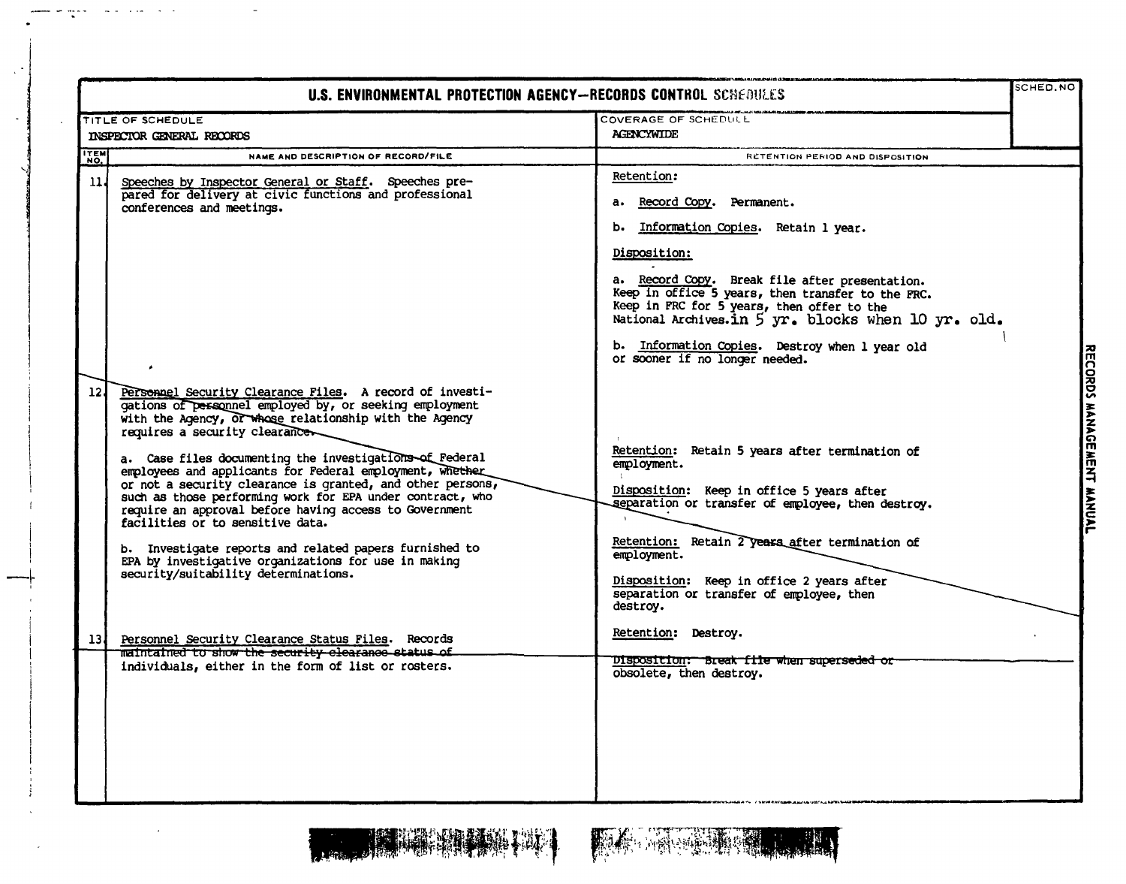|                 | <b>U.S. ENVIRONMENTAL PROTECTION AGENCY-RECORDS CONTROL SCHEDULES</b>                                                                                                                                                                                                                                                                                                                                                                                                                                                                                                                                                                                                                                                     |                                                                                                                                                                                                                                                                                                                                                                                                  | SCHED.NO                             |  |
|-----------------|---------------------------------------------------------------------------------------------------------------------------------------------------------------------------------------------------------------------------------------------------------------------------------------------------------------------------------------------------------------------------------------------------------------------------------------------------------------------------------------------------------------------------------------------------------------------------------------------------------------------------------------------------------------------------------------------------------------------------|--------------------------------------------------------------------------------------------------------------------------------------------------------------------------------------------------------------------------------------------------------------------------------------------------------------------------------------------------------------------------------------------------|--------------------------------------|--|
|                 | TITLE OF SCHEDULE<br>INSPECTOR GENERAL RECORDS                                                                                                                                                                                                                                                                                                                                                                                                                                                                                                                                                                                                                                                                            | <b>COVERAGE OF SCHEDULE</b><br><b>AGENCYWIDE</b>                                                                                                                                                                                                                                                                                                                                                 |                                      |  |
| ITEM            | NAME AND DESCRIPTION OF RECORD/FILE                                                                                                                                                                                                                                                                                                                                                                                                                                                                                                                                                                                                                                                                                       | RETENTION PERIOD AND DISPOSITION                                                                                                                                                                                                                                                                                                                                                                 |                                      |  |
| 114             | Speeches by Inspector General or Staff. Speeches pre-<br>pared for delivery at civic functions and professional<br>conferences and meetings.                                                                                                                                                                                                                                                                                                                                                                                                                                                                                                                                                                              | Retention:<br>a. Record Copy. Permanent.<br>b. Information Copies. Retain 1 year.<br>Disposition:<br>a. Record Copy. Break file after presentation.<br>Keep in office 5 years, then transfer to the FRC.<br>Keep in FRC for 5 years, then offer to the<br>National Archives.in 5 yr. blocks when 10 yr. old.<br>b. Information Copies. Destroy when 1 year old<br>or sooner if no longer needed. |                                      |  |
| 12 <sub>1</sub> | Personnel Security Clearance Files. A record of investi-<br>gations of personnel employed by, or seeking employment<br>with the Agency, or whose relationship with the Agency<br>requires a security clearancer<br>a. Case files documenting the investigations of Federal<br>employees and applicants for Federal employment, whether<br>or not a security clearance is granted, and other persons,<br>such as those performing work for EPA under contract, who<br>require an approval before having access to Government<br>facilities or to sensitive data.<br>b. Investigate reports and related papers furnished to<br>EPA by investigative organizations for use in making<br>security/suitability determinations. | Retention: Retain 5 years after termination of<br>employment.<br>Disposition: Keep in office 5 years after<br>separation or transfer of employee, then destroy.<br>Retention: Retain 2 years after termination of<br>employment.<br>Disposition: Keep in office 2 years after<br>separation or transfer of employee, then<br>destroy.                                                            | RECORDS MANAGE<br><b>MENT MANUAL</b> |  |
| 13 l            | Personnel Security Clearance Status Files. Records<br>maintained to show the security clearance status of                                                                                                                                                                                                                                                                                                                                                                                                                                                                                                                                                                                                                 | Retention: Destroy.                                                                                                                                                                                                                                                                                                                                                                              |                                      |  |
|                 | individuals, either in the form of list or rosters.                                                                                                                                                                                                                                                                                                                                                                                                                                                                                                                                                                                                                                                                       | Disposition: Break file when superseded or<br>obsolete, then destroy.                                                                                                                                                                                                                                                                                                                            |                                      |  |



 $\sigma$  appe

والوارعية القاعات

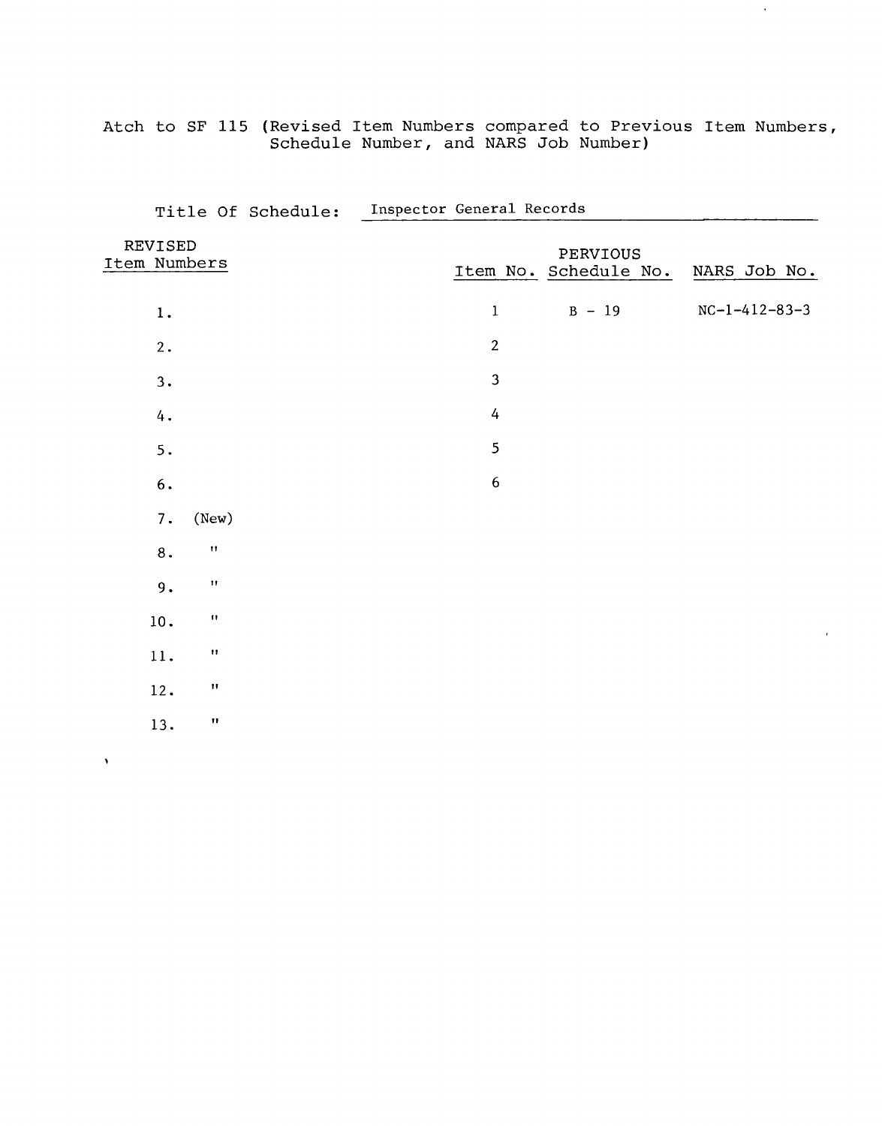Atch to SF 115 (Revised Item Numbers compared to Previous Item Numbers Schedule Number, and NARS Job Number)

 $\hat{\boldsymbol{\theta}}$ 

|                         |                           | Title Of Schedule: | Inspector General Records |                  |                                   |                 |
|-------------------------|---------------------------|--------------------|---------------------------|------------------|-----------------------------------|-----------------|
| REVISED<br>Item Numbers |                           |                    |                           |                  | PERVIOUS<br>Item No. Schedule No. | NARS Job No.    |
| $\boldsymbol{1}$ .      |                           |                    |                           | $\mathbf 1$      | $B - 19$                          | $NC-1-412-83-3$ |
| 2.                      |                           |                    |                           | $\overline{2}$   |                                   |                 |
| 3.                      |                           |                    |                           | 3                |                                   |                 |
| $4$ .                   |                           |                    |                           | $\overline{4}$   |                                   |                 |
| 5.                      |                           |                    |                           | 5                |                                   |                 |
| $\mathbf 6$ .           |                           |                    |                           | $\boldsymbol{6}$ |                                   |                 |
| 7.                      | (New)                     |                    |                           |                  |                                   |                 |
| $\bf 8$ .               | $\boldsymbol{\mathsf{H}}$ |                    |                           |                  |                                   |                 |
| $9$ .                   | $\pmb{\Pi}$               |                    |                           |                  |                                   |                 |
| $10.$                   | $\pmb{\mathsf{H}}$        |                    |                           |                  |                                   |                 |
| 11.                     | $\pmb{\mathsf{H}}$        |                    |                           |                  |                                   |                 |
| 12.                     | $\pmb{\mathsf{H}}$        |                    |                           |                  |                                   |                 |
| 13.                     | $\pmb{\mathfrak{m}}$      |                    |                           |                  |                                   |                 |
|                         |                           |                    |                           |                  |                                   |                 |

 $\hat{\mathbf{v}}$